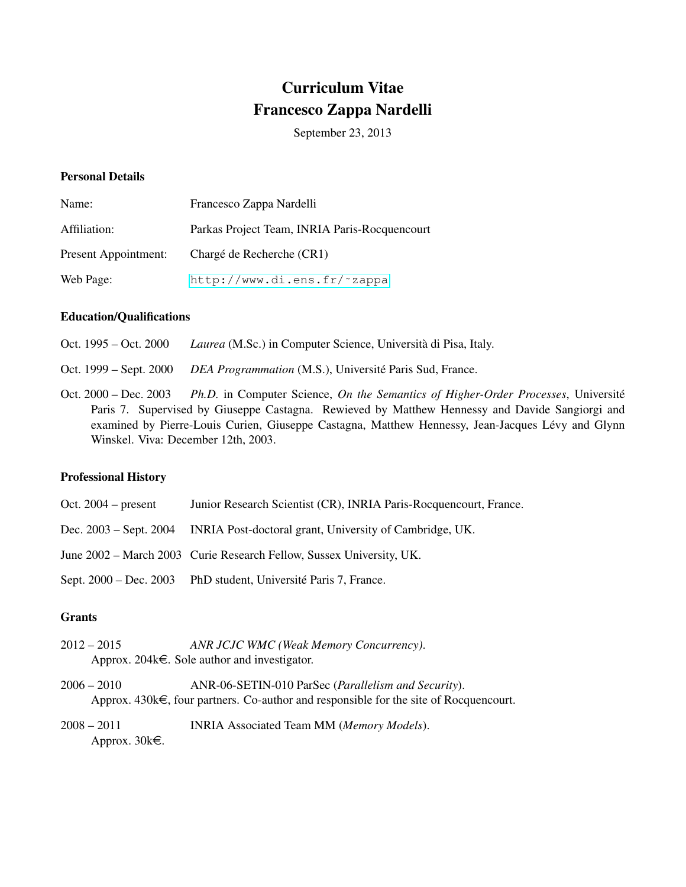# Curriculum Vitae Francesco Zappa Nardelli

September 23, 2013

## Personal Details

| Name:                | Francesco Zappa Nardelli                      |
|----------------------|-----------------------------------------------|
| Affiliation:         | Parkas Project Team, INRIA Paris-Rocquencourt |
| Present Appointment: | Chargé de Recherche (CR1)                     |
| Web Page:            | http://www.di.ens.fr/~zappa                   |

#### Education/Qualifications

Oct. 1995 – Oct. 2000 *Laurea* (M.Sc.) in Computer Science, Università di Pisa, Italy.

Oct. 1999 – Sept. 2000 *DEA Programmation* (M.S.), Universite Paris Sud, France. ´

Oct. 2000 – Dec. 2003 Ph.D. in Computer Science, *On the Semantics of Higher-Order Processes*, Université Paris 7. Supervised by Giuseppe Castagna. Rewieved by Matthew Hennessy and Davide Sangiorgi and examined by Pierre-Louis Curien, Giuseppe Castagna, Matthew Hennessy, Jean-Jacques Lévy and Glynn Winskel. Viva: December 12th, 2003.

#### Professional History

| Oct. $2004$ – present | Junior Research Scientist (CR), INRIA Paris-Rocquencourt, France.              |
|-----------------------|--------------------------------------------------------------------------------|
|                       | Dec. 2003 – Sept. 2004 INRIA Post-doctoral grant, University of Cambridge, UK. |
|                       | June 2002 – March 2003 Curie Research Fellow, Sussex University, UK.           |
|                       | Sept. 2000 – Dec. 2003 PhD student, Université Paris 7, France.                |

## **Grants**

- 2012 2015 *ANR JCJC WMC (Weak Memory Concurrency)*. Approx. 204 $k \in$ . Sole author and investigator.
- 2006 2010 ANR-06-SETIN-010 ParSec (*Parallelism and Security*). Approx.  $430k\epsilon$ , four partners. Co-author and responsible for the site of Rocquencourt.
- 2008 2011 INRIA Associated Team MM (*Memory Models*). Approx.  $30k\epsilon$ .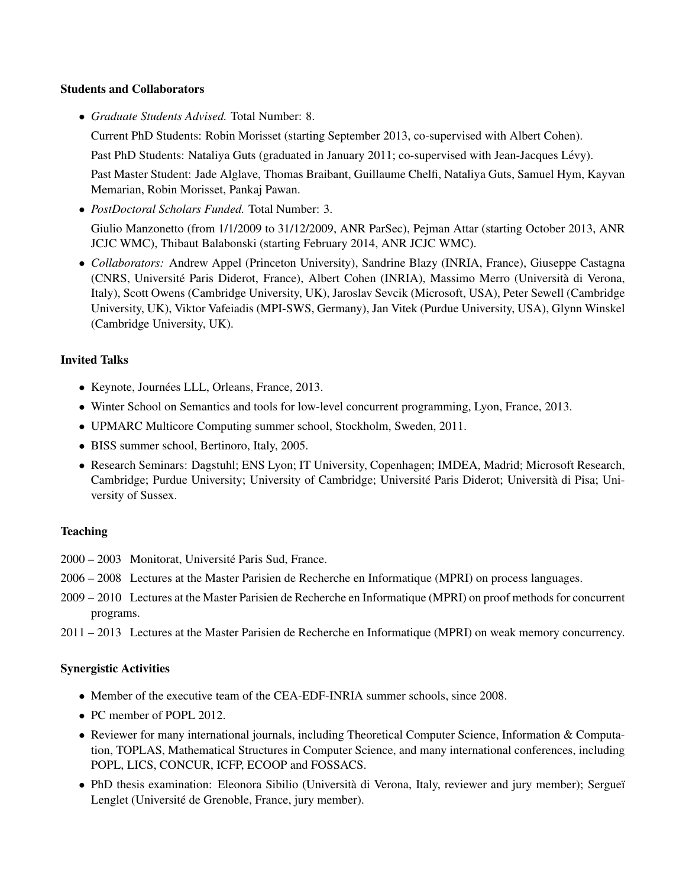# Students and Collaborators

• *Graduate Students Advised.* Total Number: 8.

Current PhD Students: Robin Morisset (starting September 2013, co-supervised with Albert Cohen).

Past PhD Students: Nataliya Guts (graduated in January 2011; co-supervised with Jean-Jacques Lévy).

Past Master Student: Jade Alglave, Thomas Braibant, Guillaume Chelfi, Nataliya Guts, Samuel Hym, Kayvan Memarian, Robin Morisset, Pankaj Pawan.

- *PostDoctoral Scholars Funded.* Total Number: 3. Giulio Manzonetto (from 1/1/2009 to 31/12/2009, ANR ParSec), Pejman Attar (starting October 2013, ANR JCJC WMC), Thibaut Balabonski (starting February 2014, ANR JCJC WMC).
- *Collaborators:* Andrew Appel (Princeton University), Sandrine Blazy (INRIA, France), Giuseppe Castagna (CNRS, Université Paris Diderot, France), Albert Cohen (INRIA), Massimo Merro (Università di Verona, Italy), Scott Owens (Cambridge University, UK), Jaroslav Sevcik (Microsoft, USA), Peter Sewell (Cambridge University, UK), Viktor Vafeiadis (MPI-SWS, Germany), Jan Vitek (Purdue University, USA), Glynn Winskel (Cambridge University, UK).

# Invited Talks

- Keynote, Journées LLL, Orleans, France, 2013.
- Winter School on Semantics and tools for low-level concurrent programming, Lyon, France, 2013.
- UPMARC Multicore Computing summer school, Stockholm, Sweden, 2011.
- BISS summer school, Bertinoro, Italy, 2005.
- Research Seminars: Dagstuhl; ENS Lyon; IT University, Copenhagen; IMDEA, Madrid; Microsoft Research, Cambridge; Purdue University; University of Cambridge; Université Paris Diderot; Università di Pisa; University of Sussex.

# **Teaching**

- 2000 2003 Monitorat, Universite Paris Sud, France. ´
- 2006 2008 Lectures at the Master Parisien de Recherche en Informatique (MPRI) on process languages.
- 2009 2010 Lectures at the Master Parisien de Recherche en Informatique (MPRI) on proof methods for concurrent programs.
- 2011 2013 Lectures at the Master Parisien de Recherche en Informatique (MPRI) on weak memory concurrency.

## Synergistic Activities

- Member of the executive team of the CEA-EDF-INRIA summer schools, since 2008.
- PC member of POPL 2012.
- Reviewer for many international journals, including Theoretical Computer Science, Information & Computation, TOPLAS, Mathematical Structures in Computer Science, and many international conferences, including POPL, LICS, CONCUR, ICFP, ECOOP and FOSSACS.
- PhD thesis examination: Eleonora Sibilio (Università di Verona, Italy, reviewer and jury member); Sergueï Lenglet (Université de Grenoble, France, jury member).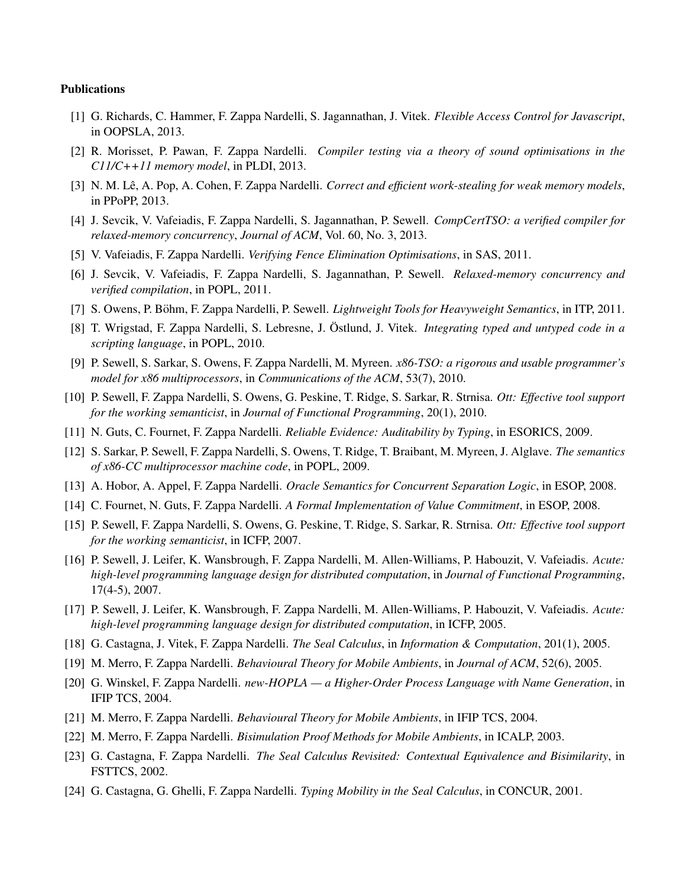#### Publications

- [1] G. Richards, C. Hammer, F. Zappa Nardelli, S. Jagannathan, J. Vitek. *Flexible Access Control for Javascript*, in OOPSLA, 2013.
- [2] R. Morisset, P. Pawan, F. Zappa Nardelli. *Compiler testing via a theory of sound optimisations in the C11/C++11 memory model*, in PLDI, 2013.
- [3] N. M. Lê, A. Pop, A. Cohen, F. Zappa Nardelli. *Correct and efficient work-stealing for weak memory models*, in PPoPP, 2013.
- [4] J. Sevcik, V. Vafeiadis, F. Zappa Nardelli, S. Jagannathan, P. Sewell. *CompCertTSO: a verified compiler for relaxed-memory concurrency*, *Journal of ACM*, Vol. 60, No. 3, 2013.
- [5] V. Vafeiadis, F. Zappa Nardelli. *Verifying Fence Elimination Optimisations*, in SAS, 2011.
- [6] J. Sevcik, V. Vafeiadis, F. Zappa Nardelli, S. Jagannathan, P. Sewell. *Relaxed-memory concurrency and verified compilation*, in POPL, 2011.
- [7] S. Owens, P. Böhm, F. Zappa Nardelli, P. Sewell. *Lightweight Tools for Heavyweight Semantics*, in ITP, 2011.
- [8] T. Wrigstad, F. Zappa Nardelli, S. Lebresne, J. Östlund, J. Vitek. *Integrating typed and untyped code in a scripting language*, in POPL, 2010.
- [9] P. Sewell, S. Sarkar, S. Owens, F. Zappa Nardelli, M. Myreen. *x86-TSO: a rigorous and usable programmer's model for x86 multiprocessors*, in *Communications of the ACM*, 53(7), 2010.
- [10] P. Sewell, F. Zappa Nardelli, S. Owens, G. Peskine, T. Ridge, S. Sarkar, R. Strnisa. *Ott: Effective tool support for the working semanticist*, in *Journal of Functional Programming*, 20(1), 2010.
- [11] N. Guts, C. Fournet, F. Zappa Nardelli. *Reliable Evidence: Auditability by Typing*, in ESORICS, 2009.
- [12] S. Sarkar, P. Sewell, F. Zappa Nardelli, S. Owens, T. Ridge, T. Braibant, M. Myreen, J. Alglave. *The semantics of x86-CC multiprocessor machine code*, in POPL, 2009.
- [13] A. Hobor, A. Appel, F. Zappa Nardelli. *Oracle Semantics for Concurrent Separation Logic*, in ESOP, 2008.
- [14] C. Fournet, N. Guts, F. Zappa Nardelli. *A Formal Implementation of Value Commitment*, in ESOP, 2008.
- [15] P. Sewell, F. Zappa Nardelli, S. Owens, G. Peskine, T. Ridge, S. Sarkar, R. Strnisa. *Ott: Effective tool support for the working semanticist*, in ICFP, 2007.
- [16] P. Sewell, J. Leifer, K. Wansbrough, F. Zappa Nardelli, M. Allen-Williams, P. Habouzit, V. Vafeiadis. *Acute: high-level programming language design for distributed computation*, in *Journal of Functional Programming*, 17(4-5), 2007.
- [17] P. Sewell, J. Leifer, K. Wansbrough, F. Zappa Nardelli, M. Allen-Williams, P. Habouzit, V. Vafeiadis. *Acute: high-level programming language design for distributed computation*, in ICFP, 2005.
- [18] G. Castagna, J. Vitek, F. Zappa Nardelli. *The Seal Calculus*, in *Information & Computation*, 201(1), 2005.
- [19] M. Merro, F. Zappa Nardelli. *Behavioural Theory for Mobile Ambients*, in *Journal of ACM*, 52(6), 2005.
- [20] G. Winskel, F. Zappa Nardelli. *new-HOPLA a Higher-Order Process Language with Name Generation*, in IFIP TCS, 2004.
- [21] M. Merro, F. Zappa Nardelli. *Behavioural Theory for Mobile Ambients*, in IFIP TCS, 2004.
- [22] M. Merro, F. Zappa Nardelli. *Bisimulation Proof Methods for Mobile Ambients*, in ICALP, 2003.
- [23] G. Castagna, F. Zappa Nardelli. *The Seal Calculus Revisited: Contextual Equivalence and Bisimilarity*, in FSTTCS, 2002.
- [24] G. Castagna, G. Ghelli, F. Zappa Nardelli. *Typing Mobility in the Seal Calculus*, in CONCUR, 2001.